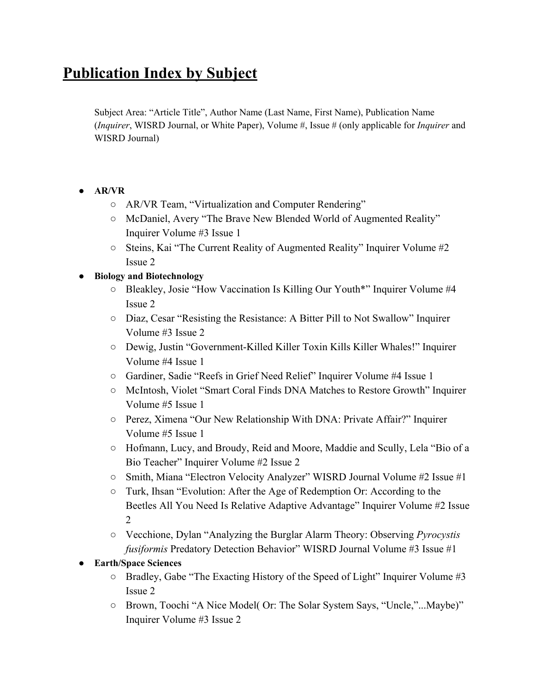# **Publication Index by Subject**

Subject Area: "Article Title", Author Name (Last Name, First Name), Publication Name (*Inquirer*, WISRD Journal, or White Paper), Volume #, Issue # (only applicable for *Inquirer* and WISRD Journal)

- **● AR/VR**
	- AR/VR Team, "Virtualization and Computer Rendering"
	- McDaniel, Avery "The Brave New Blended World of Augmented Reality" Inquirer Volume #3 Issue 1
	- Steins, Kai "The Current Reality of Augmented Reality" Inquirer Volume #2 Issue 2

#### **● Biology and Biotechnology**

- Bleakley, Josie "How Vaccination Is Killing Our Youth\*" Inquirer Volume #4 Issue 2
- Diaz, Cesar "Resisting the Resistance: A Bitter Pill to Not Swallow" Inquirer Volume #3 Issue 2
- Dewig, Justin "Government-Killed Killer Toxin Kills Killer Whales!" Inquirer Volume #4 Issue 1
- Gardiner, Sadie "Reefs in Grief Need Relief" Inquirer Volume #4 Issue 1
- McIntosh, Violet "Smart Coral Finds DNA Matches to Restore Growth" Inquirer Volume #5 Issue 1
- Perez, Ximena "Our New Relationship With DNA: Private Affair?" Inquirer Volume #5 Issue 1
- Hofmann, Lucy, and Broudy, Reid and Moore, Maddie and Scully, Lela "Bio of a Bio Teacher" Inquirer Volume #2 Issue 2
- Smith, Miana "Electron Velocity Analyzer" WISRD Journal Volume #2 Issue #1
- Turk, Ihsan "Evolution: After the Age of Redemption Or: According to the Beetles All You Need Is Relative Adaptive Advantage" Inquirer Volume #2 Issue 2
- Vecchione, Dylan "Analyzing the Burglar Alarm Theory: Observing *Pyrocystis fusiformis* Predatory Detection Behavior" WISRD Journal Volume #3 Issue #1

#### **● Earth/Space Sciences**

- Bradley, Gabe "The Exacting History of the Speed of Light" Inquirer Volume #3 Issue 2
- Brown, Toochi "A Nice Model( Or: The Solar System Says, "Uncle,"...Maybe)" Inquirer Volume #3 Issue 2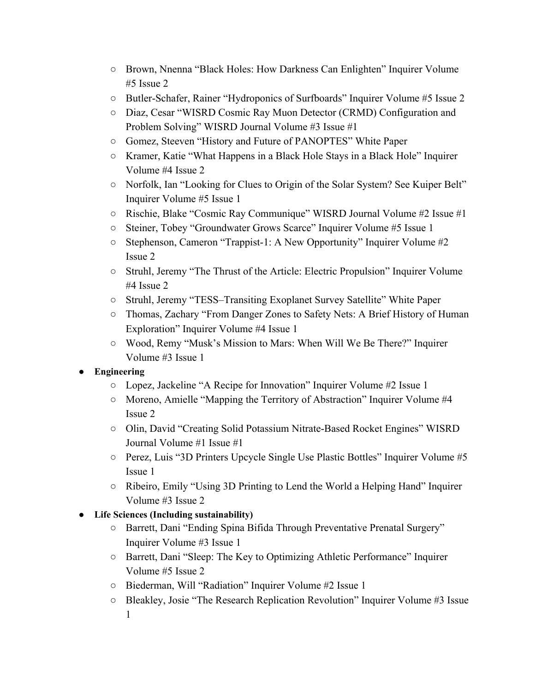- Brown, Nnenna "Black Holes: How Darkness Can Enlighten" Inquirer Volume #5 Issue 2
- Butler-Schafer, Rainer "Hydroponics of Surfboards" Inquirer Volume #5 Issue 2
- Diaz, Cesar "WISRD Cosmic Ray Muon Detector (CRMD) Configuration and Problem Solving" WISRD Journal Volume #3 Issue #1
- Gomez, Steeven "History and Future of PANOPTES" White Paper
- Kramer, Katie "What Happens in a Black Hole Stays in a Black Hole" Inquirer Volume #4 Issue 2
- Norfolk, Ian "Looking for Clues to Origin of the Solar System? See Kuiper Belt" Inquirer Volume #5 Issue 1
- Rischie, Blake "Cosmic Ray Communique" WISRD Journal Volume #2 Issue #1
- Steiner, Tobey "Groundwater Grows Scarce" Inquirer Volume #5 Issue 1
- Stephenson, Cameron "Trappist-1: A New Opportunity" Inquirer Volume #2 Issue 2
- Struhl, Jeremy "The Thrust of the Article: Electric Propulsion" Inquirer Volume #4 Issue 2
- Struhl, Jeremy "TESS–Transiting Exoplanet Survey Satellite" White Paper
- Thomas, Zachary "From Danger Zones to Safety Nets: A Brief History of Human Exploration" Inquirer Volume #4 Issue 1
- Wood, Remy "Musk's Mission to Mars: When Will We Be There?" Inquirer Volume #3 Issue 1

## **● Engineering**

- Lopez, Jackeline "A Recipe for Innovation" Inquirer Volume #2 Issue 1
- Moreno, Amielle "Mapping the Territory of Abstraction" Inquirer Volume #4 Issue 2
- Olin, David "Creating Solid Potassium Nitrate-Based Rocket Engines" WISRD Journal Volume #1 Issue #1
- Perez, Luis "3D Printers Upcycle Single Use Plastic Bottles" Inquirer Volume #5 Issue 1
- Ribeiro, Emily "Using 3D Printing to Lend the World a Helping Hand" Inquirer Volume #3 Issue 2

## **● Life Sciences (Including sustainability)**

- Barrett, Dani "Ending Spina Bifida Through Preventative Prenatal Surgery" Inquirer Volume #3 Issue 1
- Barrett, Dani "Sleep: The Key to Optimizing Athletic Performance" Inquirer Volume #5 Issue 2
- Biederman, Will "Radiation" Inquirer Volume #2 Issue 1
- Bleakley, Josie "The Research Replication Revolution" Inquirer Volume #3 Issue 1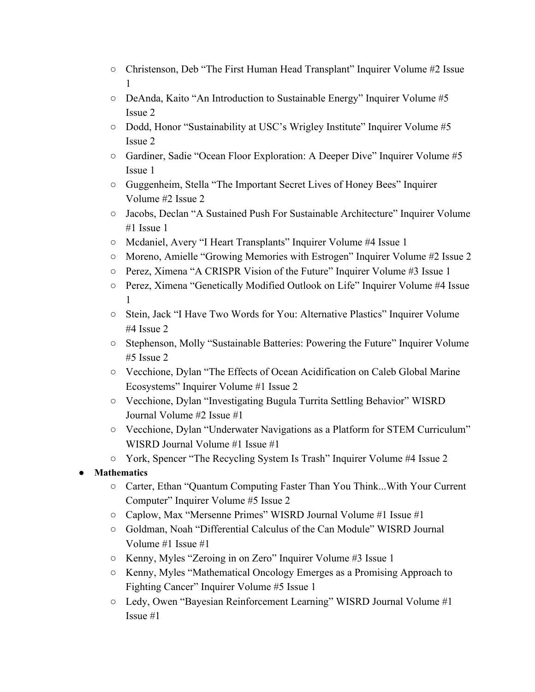- Christenson, Deb "The First Human Head Transplant" Inquirer Volume #2 Issue 1
- DeAnda, Kaito "An Introduction to Sustainable Energy" Inquirer Volume #5 Issue 2
- Dodd, Honor "Sustainability at USC's Wrigley Institute" Inquirer Volume #5 Issue 2
- Gardiner, Sadie "Ocean Floor Exploration: A Deeper Dive" Inquirer Volume #5 Issue 1
- Guggenheim, Stella "The Important Secret Lives of Honey Bees" Inquirer Volume #2 Issue 2
- Jacobs, Declan "A Sustained Push For Sustainable Architecture" Inquirer Volume #1 Issue 1
- Mcdaniel, Avery "I Heart Transplants" Inquirer Volume #4 Issue 1
- Moreno, Amielle "Growing Memories with Estrogen" Inquirer Volume #2 Issue 2
- Perez, Ximena "A CRISPR Vision of the Future" Inquirer Volume #3 Issue 1
- Perez, Ximena "Genetically Modified Outlook on Life" Inquirer Volume #4 Issue 1
- Stein, Jack "I Have Two Words for You: Alternative Plastics" Inquirer Volume #4 Issue 2
- Stephenson, Molly "Sustainable Batteries: Powering the Future" Inquirer Volume #5 Issue 2
- Vecchione, Dylan "The Effects of Ocean Acidification on Caleb Global Marine Ecosystems" Inquirer Volume #1 Issue 2
- Vecchione, Dylan "Investigating Bugula Turrita Settling Behavior" WISRD Journal Volume #2 Issue #1
- Vecchione, Dylan "Underwater Navigations as a Platform for STEM Curriculum" WISRD Journal Volume #1 Issue #1
- York, Spencer "The Recycling System Is Trash" Inquirer Volume #4 Issue 2
- **● Mathematics**
	- Carter, Ethan "Quantum Computing Faster Than You Think...With Your Current Computer" Inquirer Volume #5 Issue 2
	- Caplow, Max "Mersenne Primes" WISRD Journal Volume #1 Issue #1
	- Goldman, Noah "Differential Calculus of the Can Module" WISRD Journal Volume #1 Issue #1
	- Kenny, Myles "Zeroing in on Zero" Inquirer Volume #3 Issue 1
	- Kenny, Myles "Mathematical Oncology Emerges as a Promising Approach to Fighting Cancer" Inquirer Volume #5 Issue 1
	- Ledy, Owen "Bayesian Reinforcement Learning" WISRD Journal Volume #1 Issue #1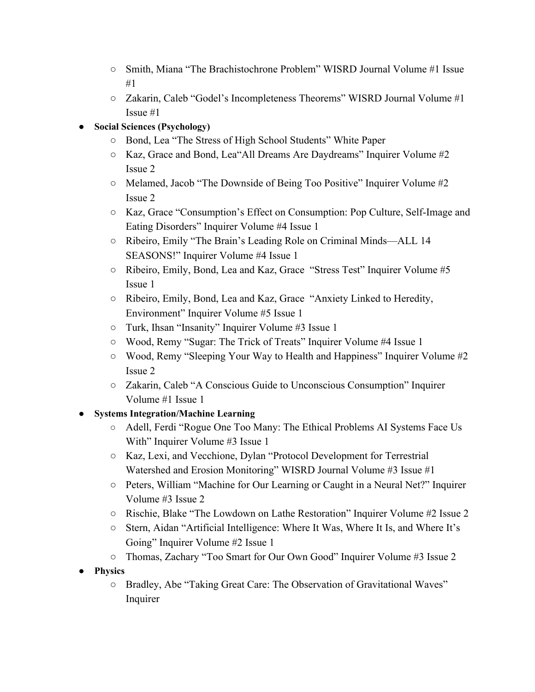- Smith, Miana "The Brachistochrone Problem" WISRD Journal Volume #1 Issue #1
- Zakarin, Caleb "Godel's Incompleteness Theorems" WISRD Journal Volume #1 Issue #1

#### **● Social Sciences (Psychology)**

- Bond, Lea "The Stress of High School Students" White Paper
- $\circ$  Kaz, Grace and Bond, Lea<sup>"</sup>All Dreams Are Daydreams" Inquirer Volume #2 Issue 2
- Melamed, Jacob "The Downside of Being Too Positive" Inquirer Volume #2 Issue 2
- Kaz, Grace "Consumption's Effect on Consumption: Pop Culture, Self-Image and Eating Disorders" Inquirer Volume #4 Issue 1
- Ribeiro, Emily "The Brain's Leading Role on Criminal Minds––ALL 14 SEASONS!" Inquirer Volume #4 Issue 1
- Ribeiro, Emily, Bond, Lea and Kaz, Grace "Stress Test" Inquirer Volume #5 Issue 1
- Ribeiro, Emily, Bond, Lea and Kaz, Grace "Anxiety Linked to Heredity, Environment" Inquirer Volume #5 Issue 1
- Turk, Ihsan "Insanity" Inquirer Volume #3 Issue 1
- Wood, Remy "Sugar: The Trick of Treats" Inquirer Volume #4 Issue 1
- Wood, Remy "Sleeping Your Way to Health and Happiness" Inquirer Volume #2 Issue 2
- Zakarin, Caleb "A Conscious Guide to Unconscious Consumption" Inquirer Volume #1 Issue 1

## **● Systems Integration/Machine Learning**

- Adell, Ferdi "Rogue One Too Many: The Ethical Problems AI Systems Face Us With" Inquirer Volume #3 Issue 1
- Kaz, Lexi, and Vecchione, Dylan "Protocol Development for Terrestrial Watershed and Erosion Monitoring" WISRD Journal Volume #3 Issue #1
- Peters, William "Machine for Our Learning or Caught in a Neural Net?" Inquirer Volume #3 Issue 2
- Rischie, Blake "The Lowdown on Lathe Restoration" Inquirer Volume #2 Issue 2
- Stern, Aidan "Artificial Intelligence: Where It Was, Where It Is, and Where It's Going" Inquirer Volume #2 Issue 1
- Thomas, Zachary "Too Smart for Our Own Good" Inquirer Volume #3 Issue 2
- **● Physics**
	- Bradley, Abe "Taking Great Care: The Observation of Gravitational Waves" Inquirer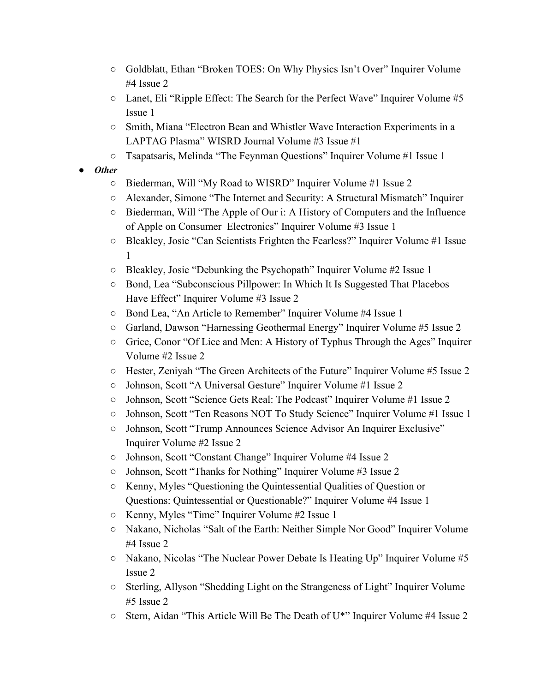- Goldblatt, Ethan "Broken TOES: On Why Physics Isn't Over" Inquirer Volume #4 Issue 2
- Lanet, Eli "Ripple Effect: The Search for the Perfect Wave" Inquirer Volume #5 Issue 1
- Smith, Miana "Electron Bean and Whistler Wave Interaction Experiments in a LAPTAG Plasma" WISRD Journal Volume #3 Issue #1
- Tsapatsaris, Melinda "The Feynman Questions" Inquirer Volume #1 Issue 1
- *● Other*
	- Biederman, Will "My Road to WISRD" Inquirer Volume #1 Issue 2
	- Alexander, Simone "The Internet and Security: A Structural Mismatch" Inquirer
	- Biederman, Will "The Apple of Our i: A History of Computers and the Influence of Apple on Consumer Electronics" Inquirer Volume #3 Issue 1
	- Bleakley, Josie "Can Scientists Frighten the Fearless?" Inquirer Volume #1 Issue 1
	- Bleakley, Josie "Debunking the Psychopath" Inquirer Volume #2 Issue 1
	- Bond, Lea "Subconscious Pillpower: In Which It Is Suggested That Placebos Have Effect" Inquirer Volume #3 Issue 2
	- Bond Lea, "An Article to Remember" Inquirer Volume #4 Issue 1
	- Garland, Dawson "Harnessing Geothermal Energy" Inquirer Volume #5 Issue 2
	- Grice, Conor "Of Lice and Men: A History of Typhus Through the Ages" Inquirer Volume #2 Issue 2
	- Hester, Zeniyah "The Green Architects of the Future" Inquirer Volume #5 Issue 2
	- Johnson, Scott "A Universal Gesture" Inquirer Volume #1 Issue 2
	- Johnson, Scott "Science Gets Real: The Podcast" Inquirer Volume #1 Issue 2
	- Johnson, Scott "Ten Reasons NOT To Study Science" Inquirer Volume #1 Issue 1
	- Johnson, Scott "Trump Announces Science Advisor An Inquirer Exclusive" Inquirer Volume #2 Issue 2
	- Johnson, Scott "Constant Change" Inquirer Volume #4 Issue 2
	- Johnson, Scott "Thanks for Nothing" Inquirer Volume #3 Issue 2
	- Kenny, Myles "Questioning the Quintessential Qualities of Question or Questions: Quintessential or Questionable?" Inquirer Volume #4 Issue 1
	- Kenny, Myles "Time" Inquirer Volume #2 Issue 1
	- Nakano, Nicholas "Salt of the Earth: Neither Simple Nor Good" Inquirer Volume #4 Issue 2
	- Nakano, Nicolas "The Nuclear Power Debate Is Heating Up" Inquirer Volume #5 Issue 2
	- Sterling, Allyson "Shedding Light on the Strangeness of Light" Inquirer Volume #5 Issue 2
	- Stern, Aidan "This Article Will Be The Death of U\*" Inquirer Volume #4 Issue 2